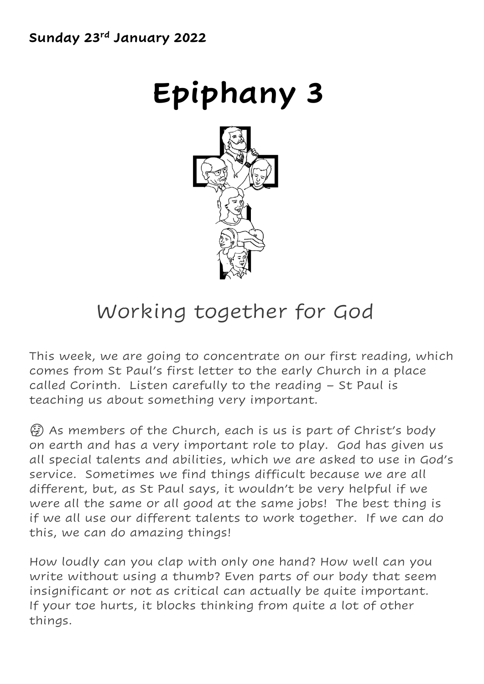# **Epiphany 3**



### Working together for God

This week, we are going to concentrate on our first reading, which comes from St Paul's first letter to the early Church in a place called Corinth. Listen carefully to the reading – St Paul is teaching us about something very important.

 $\left(\frac{1}{2}\right)$  As members of the Church, each is us is part of Christ's body on earth and has a very important role to play. God has given us all special talents and abilities, which we are asked to use in God's service. Sometimes we find things difficult because we are all different, but, as St Paul says, it wouldn't be very helpful if we were all the same or all good at the same jobs! The best thing is if we all use our different talents to work together. If we can do this, we can do amazing things!

How loudly can you clap with only one hand? How well can you write without using a thumb? Even parts of our body that seem insignificant or not as critical can actually be quite important. If your toe hurts, it blocks thinking from quite a lot of other things.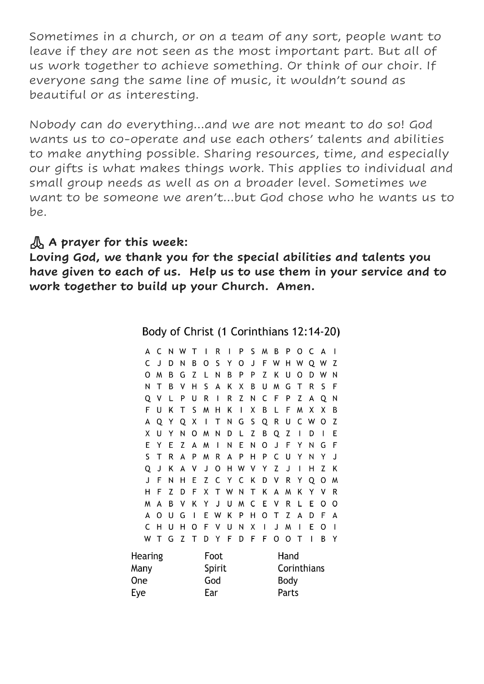Sometimes in a church, or on a team of any sort, people want to leave if they are not seen as the most important part. But all of us work together to achieve something. Or think of our choir. If everyone sang the same line of music, it wouldn't sound as beautiful or as interesting.

Nobody can do everything…and we are not meant to do so! God wants us to co-operate and use each others' talents and abilities to make anything possible. Sharing resources, time, and especially our gifts is what makes things work. This applies to individual and small group needs as well as on a broader level. Sometimes we want to be someone we aren't…but God chose who he wants us to be.

#### **A prayer for this week:**

**Loving God, we thank you for the special abilities and talents you have given to each of us. Help us to use them in your service and to work together to build up your Church. Amen.** 

Body of Christ (1 Corinthians 12:14-20)

| А       | C    | Ν      | w   | т |   | R | ı | P | S    | M            | B | P | O | C | A | ı            |  |
|---------|------|--------|-----|---|---|---|---|---|------|--------------|---|---|---|---|---|--------------|--|
| C       | J    | D      | Ν   | B | O | S | Y | O | J    | F            | W | н | W | Q | W | Z            |  |
| O       | м    | B      | G   | Z | L | Ν | B | P | P    | Z            | Κ | U | O | D | w | Ν            |  |
| Ν       | т    | B      | ٧   | н | S | А | Κ | Χ | В    | U            | м | G | т | R | S | F            |  |
| Q       | ٧    | L      | P   | U | R | ı | R | Z | N    | С            | F | P | Z | А | Q | Ν            |  |
| F       | U    | K      | т   | S | W | н | K | I | Χ    | B            | L | F | W | x | x | В            |  |
| А       | Q    | Y      | Q   | Χ | ı | Т | Ν | G | S    | Q            | R | U | C | W | O | Z            |  |
| x       | U    | Y      | N   | O | м | Ν | D | L | Z    | B            | Q | Z | ı | D | ı | Е            |  |
| E       | Y    | E      | Z   | A | м | ı | Ν | E | Ν    | 0            | J | F | Y | Ν | G | F            |  |
| S       | т    | R      | A   | P | м | R | А | P | Н    | P            | C | U | Y | Ν | Y | J            |  |
| Q       | J    | Κ      | A   | ٧ | J | O | н | W | ٧    | Y            | Z | J | ı | н | Z | Κ            |  |
| J       | F    | Ν      | н   | E | Z | C | Υ | C | K    | D            | ٧ | R | Y | Q | 0 | м            |  |
| н       | F    | Z      | D   | F | Χ | Т | W | Ν | Т    | Κ            | A | м | Κ | Y | v | R            |  |
| м       | Δ    | B      | v   | Κ | Y | J | U | W | C    | E            | ٧ | R | L | E | Ω | Ω            |  |
| А       | Ω    | U      | G   | ı | E | W | K | P | Н    | 0            | т | Z | A | D | F | A            |  |
| C       | н    | U      | н   | Ω | F | ٧ | U | Ν | Χ    | $\mathbf{I}$ | J | W | ı | E | O | $\mathbf{I}$ |  |
| W       | т    | G      | Z   | т | D | Y | F | D | F    | F            | 0 | O | Т | ı | B | Y            |  |
| Hearing | Foot |        |     |   |   |   |   |   | Hand |              |   |   |   |   |   |              |  |
| Many    |      | Spirit |     |   |   |   |   |   |      | Corinthians  |   |   |   |   |   |              |  |
| One     |      |        | God |   |   |   |   |   |      | Body         |   |   |   |   |   |              |  |
| Eye     |      |        | Ear |   |   |   |   |   |      | Parts        |   |   |   |   |   |              |  |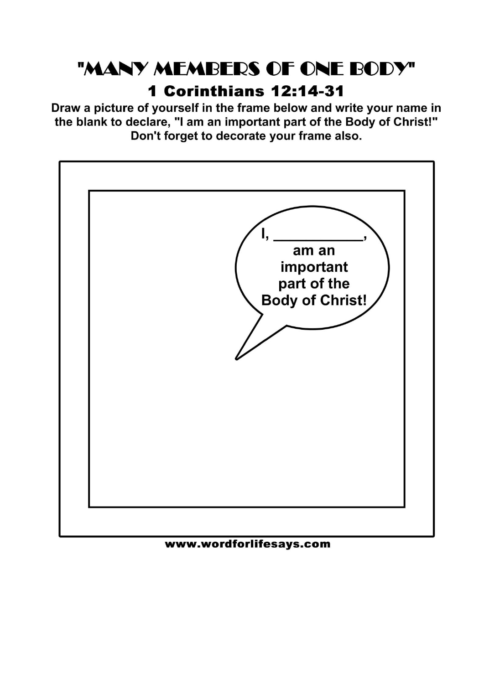## "MANY MEMBERS OF ONE BODY"

### **1 Corinthians 12:14-31**

Draw a picture of yourself in the frame below and write your name in the blank to declare, "I am an important part of the Body of Christ!" Don't forget to decorate your frame also.



www.wordforlifesays.com